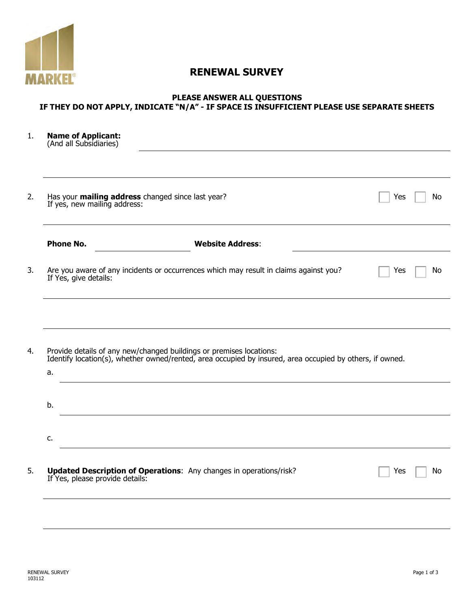

# **RENEWAL SURVEY**

#### **PLEASE ANSWER ALL QUESTIONS IF THEY DO NOT APPLY, INDICATE "N/A" - IF SPACE IS INSUFFICIENT PLEASE USE SEPARATE SHEETS**

| <b>Name of Applicant:</b><br>(And all Subsidiaries) |                                                                                                                                                                                 |     |    |
|-----------------------------------------------------|---------------------------------------------------------------------------------------------------------------------------------------------------------------------------------|-----|----|
|                                                     |                                                                                                                                                                                 |     |    |
| If yes, new mailing address:                        | Has your mailing address changed since last year?                                                                                                                               | Yes | No |
| <b>Phone No.</b>                                    | <b>Website Address:</b>                                                                                                                                                         |     |    |
| If Yes, give details:                               | Are you aware of any incidents or occurrences which may result in claims against you?                                                                                           | Yes | No |
|                                                     |                                                                                                                                                                                 |     |    |
|                                                     |                                                                                                                                                                                 |     |    |
|                                                     | Provide details of any new/changed buildings or premises locations:<br>Identify location(s), whether owned/rented, area occupied by insured, area occupied by others, if owned. |     |    |
|                                                     |                                                                                                                                                                                 |     |    |
|                                                     |                                                                                                                                                                                 |     |    |
| a.<br>b.<br>c.                                      |                                                                                                                                                                                 |     |    |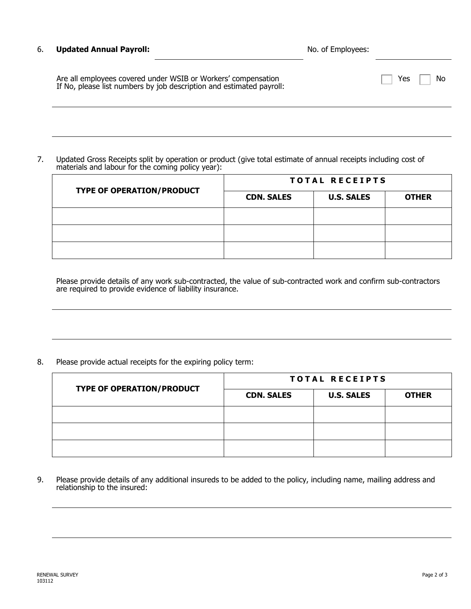#### 6. **Updated Annual Payroll:** The Contract of Employees: No. of Employees:

Yes  $\Box$  No

| Are all employees covered under WSIB or Workers' compensation        |  |
|----------------------------------------------------------------------|--|
| If No, please list numbers by job description and estimated payroll: |  |

7. Updated Gross Receipts split by operation or product (give total estimate of annual receipts including cost of materials and labour for the coming policy year):

| <b>TYPE OF OPERATION/PRODUCT</b> | <b>TOTAL RECEIPTS</b> |                   |              |
|----------------------------------|-----------------------|-------------------|--------------|
|                                  | <b>CDN. SALES</b>     | <b>U.S. SALES</b> | <b>OTHER</b> |
|                                  |                       |                   |              |
|                                  |                       |                   |              |
|                                  |                       |                   |              |

Please provide details of any work sub-contracted, the value of sub-contracted work and confirm sub-contractors are required to provide evidence of liability insurance.

8. Please provide actual receipts for the expiring policy term:

|                                  | <b>TOTAL RECEIPTS</b> |                   |              |
|----------------------------------|-----------------------|-------------------|--------------|
| <b>TYPE OF OPERATION/PRODUCT</b> | <b>CDN. SALES</b>     | <b>U.S. SALES</b> | <b>OTHER</b> |
|                                  |                       |                   |              |
|                                  |                       |                   |              |
|                                  |                       |                   |              |

9. Please provide details of any additional insureds to be added to the policy, including name, mailing address and relationship to the insured: